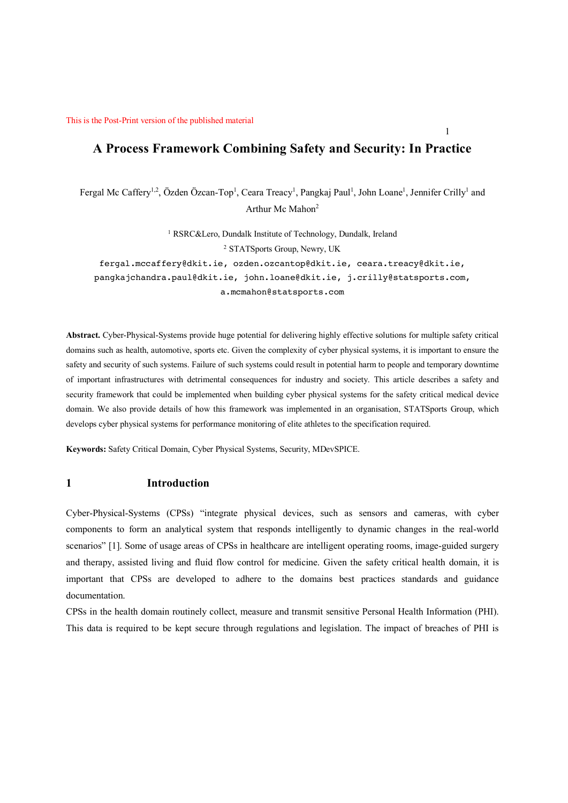# **A Process Framework Combining Safety and Security: In Practice**

Fergal Mc Caffery<sup>1,2</sup>, Özden Özcan-Top<sup>1</sup>, Ceara Treacy<sup>1</sup>, Pangkaj Paul<sup>1</sup>, John Loane<sup>1</sup>, Jennifer Crilly<sup>1</sup> and Arthur Mc Mahon2

> <sup>1</sup> RSRC&Lero, Dundalk Institute of Technology, Dundalk, Ireland <sup>2</sup> STATSports Group, Newry, UK

fergal.mccaffery@dkit.ie, ozden.ozcantop@dkit.ie, ceara.treacy@dkit.ie, pangkajchandra.paul@dkit.ie, john.loane@dkit.ie, j.crilly@statsports.com, a.mcmahon@statsports.com

**Abstract.** Cyber-Physical-Systems provide huge potential for delivering highly effective solutions for multiple safety critical domains such as health, automotive, sports etc. Given the complexity of cyber physical systems, it is important to ensure the safety and security of such systems. Failure of such systems could result in potential harm to people and temporary downtime of important infrastructures with detrimental consequences for industry and society. This article describes a safety and security framework that could be implemented when building cyber physical systems for the safety critical medical device domain. We also provide details of how this framework was implemented in an organisation, STATSports Group, which develops cyber physical systems for performance monitoring of elite athletes to the specification required.

**Keywords:** Safety Critical Domain, Cyber Physical Systems, Security, MDevSPICE.

# **1 Introduction**

Cyber-Physical-Systems (CPSs) "integrate physical devices, such as sensors and cameras, with cyber components to form an analytical system that responds intelligently to dynamic changes in the real-world scenarios" [1]. Some of usage areas of CPSs in healthcare are intelligent operating rooms, image-guided surgery and therapy, assisted living and fluid flow control for medicine. Given the safety critical health domain, it is important that CPSs are developed to adhere to the domains best practices standards and guidance documentation.

CPSs in the health domain routinely collect, measure and transmit sensitive Personal Health Information (PHI). This data is required to be kept secure through regulations and legislation. The impact of breaches of PHI is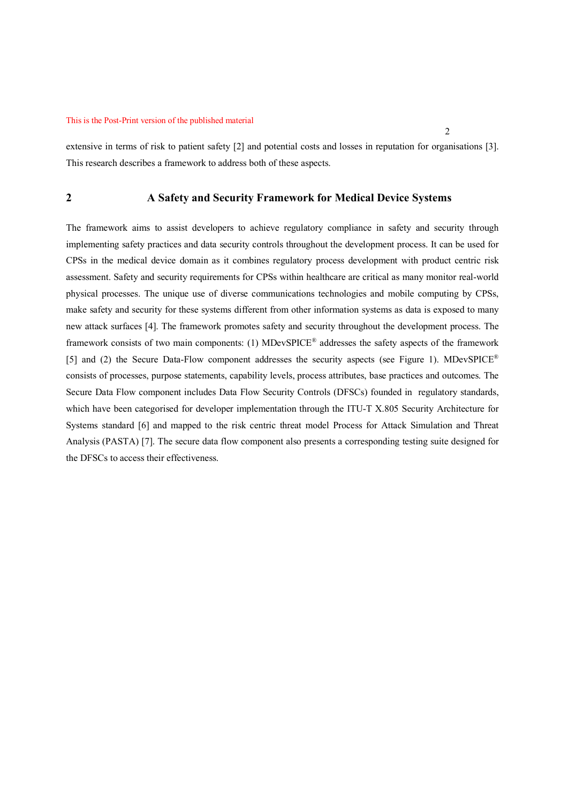extensive in terms of risk to patient safety [2] and potential costs and losses in reputation for organisations [3]. This research describes a framework to address both of these aspects.

## **2 A Safety and Security Framework for Medical Device Systems**

The framework aims to assist developers to achieve regulatory compliance in safety and security through implementing safety practices and data security controls throughout the development process. It can be used for CPSs in the medical device domain as it combines regulatory process development with product centric risk assessment. Safety and security requirements for CPSs within healthcare are critical as many monitor real-world physical processes. The unique use of diverse communications technologies and mobile computing by CPSs, make safety and security for these systems different from other information systems as data is exposed to many new attack surfaces [4]. The framework promotes safety and security throughout the development process. The framework consists of two main components: (1) MDevSPICE® addresses the safety aspects of the framework [5] and (2) the Secure Data-Flow component addresses the security aspects (see Figure 1). MDevSPICE® consists of processes, purpose statements, capability levels, process attributes, base practices and outcomes. The Secure Data Flow component includes Data Flow Security Controls (DFSCs) founded in regulatory standards, which have been categorised for developer implementation through the ITU-T X.805 Security Architecture for Systems standard [6] and mapped to the risk centric threat model Process for Attack Simulation and Threat Analysis (PASTA) [7]. The secure data flow component also presents a corresponding testing suite designed for the DFSCs to access their effectiveness.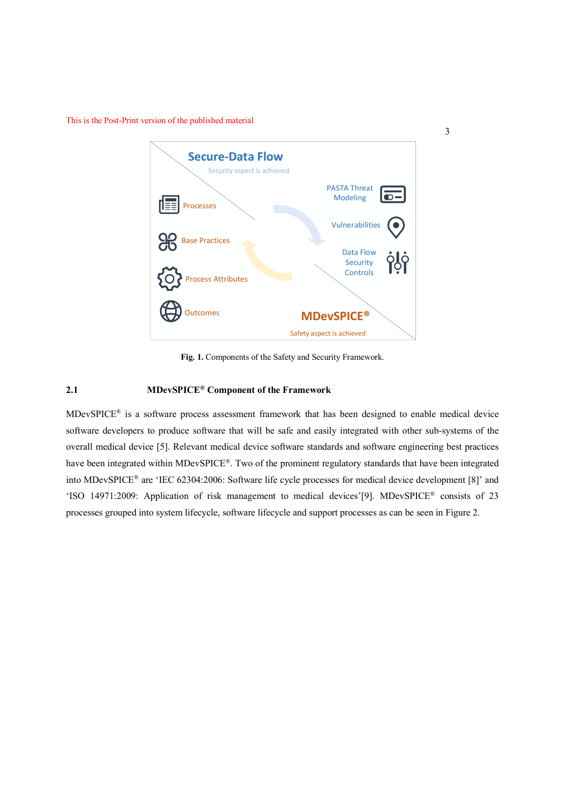

3

**Fig. 1.** Components of the Safety and Security Framework.

### **2.1 MDevSPICE® Component of the Framework**

MDevSPICE® is a software process assessment framework that has been designed to enable medical device software developers to produce software that will be safe and easily integrated with other sub-systems of the overall medical device [5]. Relevant medical device software standards and software engineering best practices have been integrated within MDevSPICE®. Two of the prominent regulatory standards that have been integrated into MDevSPICE® are 'IEC 62304:2006: Software life cycle processes for medical device development [8]' and 'ISO 14971:2009: Application of risk management to medical devices'[9]. MDevSPICE® consists of 23 processes grouped into system lifecycle, software lifecycle and support processes as can be seen in Figure 2.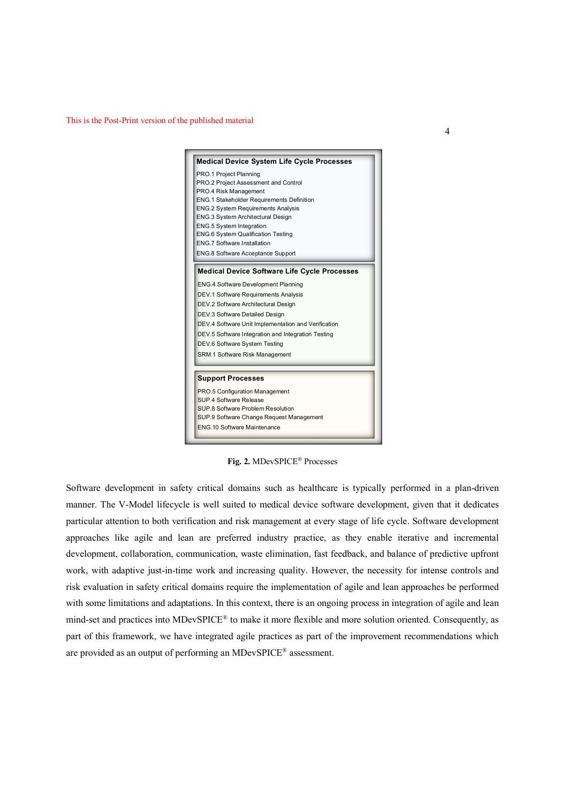

**Fig. 2.** MDevSPICE® Processes

Software development in safety critical domains such as healthcare is typically performed in a plan-driven manner. The V-Model lifecycle is well suited to medical device software development, given that it dedicates particular attention to both verification and risk management at every stage of life cycle. Software development approaches like agile and lean are preferred industry practice, as they enable iterative and incremental development, collaboration, communication, waste elimination, fast feedback, and balance of predictive upfront work, with adaptive just-in-time work and increasing quality. However, the necessity for intense controls and risk evaluation in safety critical domains require the implementation of agile and lean approaches be performed with some limitations and adaptations. In this context, there is an ongoing process in integration of agile and lean mind-set and practices into MDevSPICE® to make it more flexible and more solution oriented. Consequently, as part of this framework, we have integrated agile practices as part of the improvement recommendations which are provided as an output of performing an MDevSPICE® assessment.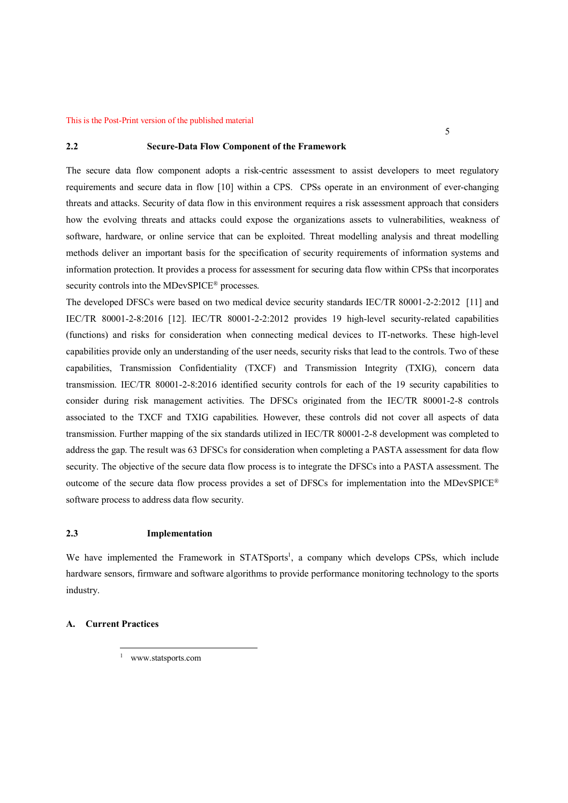## **2.2 Secure-Data Flow Component of the Framework**

The secure data flow component adopts a risk-centric assessment to assist developers to meet regulatory requirements and secure data in flow [10] within a CPS. CPSs operate in an environment of ever-changing threats and attacks. Security of data flow in this environment requires a risk assessment approach that considers how the evolving threats and attacks could expose the organizations assets to vulnerabilities, weakness of software, hardware, or online service that can be exploited. Threat modelling analysis and threat modelling methods deliver an important basis for the specification of security requirements of information systems and information protection. It provides a process for assessment for securing data flow within CPSs that incorporates security controls into the MDevSPICE® processes.

The developed DFSCs were based on two medical device security standards IEC/TR 80001-2-2:2012 [11] and IEC/TR 80001-2-8:2016 [12]. IEC/TR 80001-2-2:2012 provides 19 high-level security-related capabilities (functions) and risks for consideration when connecting medical devices to IT-networks. These high-level capabilities provide only an understanding of the user needs, security risks that lead to the controls. Two of these capabilities, Transmission Confidentiality (TXCF) and Transmission Integrity (TXIG), concern data transmission. IEC/TR 80001-2-8:2016 identified security controls for each of the 19 security capabilities to consider during risk management activities. The DFSCs originated from the IEC/TR 80001-2-8 controls associated to the TXCF and TXIG capabilities. However, these controls did not cover all aspects of data transmission. Further mapping of the six standards utilized in IEC/TR 80001-2-8 development was completed to address the gap. The result was 63 DFSCs for consideration when completing a PASTA assessment for data flow security. The objective of the secure data flow process is to integrate the DFSCs into a PASTA assessment. The outcome of the secure data flow process provides a set of DFSCs for implementation into the MDevSPICE® software process to address data flow security.

#### **2.3 Implementation**

We have implemented the Framework in STATSports<sup>1</sup>, a company which develops CPSs, which include hardware sensors, firmware and software algorithms to provide performance monitoring technology to the sports industry.

### **A. Current Practices**

 <sup>1</sup> www.statsports.com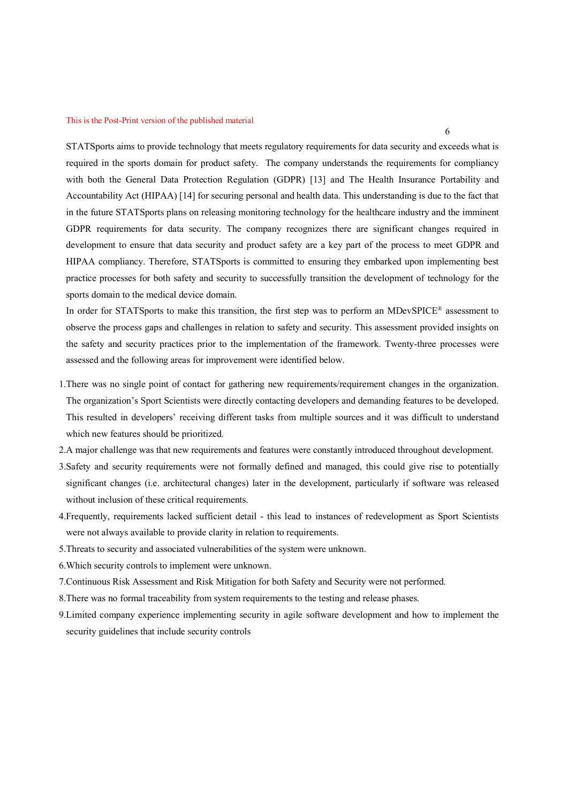STATSports aims to provide technology that meets regulatory requirements for data security and exceeds what is required in the sports domain for product safety. The company understands the requirements for compliancy with both the General Data Protection Regulation (GDPR) [13] and The Health Insurance Portability and Accountability Act (HIPAA) [14] for securing personal and health data. This understanding is due to the fact that in the future STATSports plans on releasing monitoring technology for the healthcare industry and the imminent GDPR requirements for data security. The company recognizes there are significant changes required in development to ensure that data security and product safety are a key part of the process to meet GDPR and HIPAA compliancy. Therefore, STATSports is committed to ensuring they embarked upon implementing best practice processes for both safety and security to successfully transition the development of technology for the sports domain to the medical device domain.

In order for STATSports to make this transition, the first step was to perform an MDevSPICE® assessment to observe the process gaps and challenges in relation to safety and security. This assessment provided insights on the safety and security practices prior to the implementation of the framework. Twenty-three processes were assessed and the following areas for improvement were identified below.

- 1.There was no single point of contact for gathering new requirements/requirement changes in the organization. The organization's Sport Scientists were directly contacting developers and demanding features to be developed. This resulted in developers' receiving different tasks from multiple sources and it was difficult to understand which new features should be prioritized.
- 2.A major challenge was that new requirements and features were constantly introduced throughout development.
- 3.Safety and security requirements were not formally defined and managed, this could give rise to potentially significant changes (i.e. architectural changes) later in the development, particularly if software was released without inclusion of these critical requirements.
- 4.Frequently, requirements lacked sufficient detail this lead to instances of redevelopment as Sport Scientists were not always available to provide clarity in relation to requirements.
- 5.Threats to security and associated vulnerabilities of the system were unknown.
- 6.Which security controls to implement were unknown.
- 7.Continuous Risk Assessment and Risk Mitigation for both Safety and Security were not performed.
- 8.There was no formal traceability from system requirements to the testing and release phases.
- 9.Limited company experience implementing security in agile software development and how to implement the security guidelines that include security controls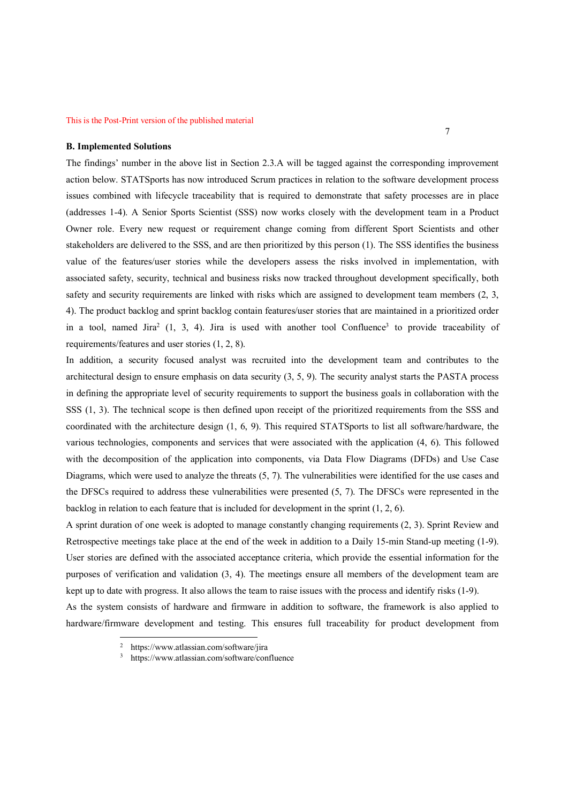#### **B. Implemented Solutions**

The findings' number in the above list in Section 2.3.A will be tagged against the corresponding improvement action below. STATSports has now introduced Scrum practices in relation to the software development process issues combined with lifecycle traceability that is required to demonstrate that safety processes are in place (addresses 1-4). A Senior Sports Scientist (SSS) now works closely with the development team in a Product Owner role. Every new request or requirement change coming from different Sport Scientists and other stakeholders are delivered to the SSS, and are then prioritized by this person (1). The SSS identifies the business value of the features/user stories while the developers assess the risks involved in implementation, with associated safety, security, technical and business risks now tracked throughout development specifically, both safety and security requirements are linked with risks which are assigned to development team members (2, 3, 4). The product backlog and sprint backlog contain features/user stories that are maintained in a prioritized order in a tool, named Jira<sup>2</sup> (1, 3, 4). Jira is used with another tool Confluence<sup>3</sup> to provide traceability of requirements/features and user stories (1, 2, 8).

In addition, a security focused analyst was recruited into the development team and contributes to the architectural design to ensure emphasis on data security  $(3, 5, 9)$ . The security analyst starts the PASTA process in defining the appropriate level of security requirements to support the business goals in collaboration with the SSS (1, 3). The technical scope is then defined upon receipt of the prioritized requirements from the SSS and coordinated with the architecture design (1, 6, 9). This required STATSports to list all software/hardware, the various technologies, components and services that were associated with the application (4, 6). This followed with the decomposition of the application into components, via Data Flow Diagrams (DFDs) and Use Case Diagrams, which were used to analyze the threats (5, 7). The vulnerabilities were identified for the use cases and the DFSCs required to address these vulnerabilities were presented (5, 7). The DFSCs were represented in the backlog in relation to each feature that is included for development in the sprint (1, 2, 6).

A sprint duration of one week is adopted to manage constantly changing requirements (2, 3). Sprint Review and Retrospective meetings take place at the end of the week in addition to a Daily 15-min Stand-up meeting (1-9). User stories are defined with the associated acceptance criteria, which provide the essential information for the purposes of verification and validation (3, 4). The meetings ensure all members of the development team are kept up to date with progress. It also allows the team to raise issues with the process and identify risks (1-9).

As the system consists of hardware and firmware in addition to software, the framework is also applied to hardware/firmware development and testing. This ensures full traceability for product development from

 <sup>2</sup> https://www.atlassian.com/software/jira

<sup>3</sup> https://www.atlassian.com/software/confluence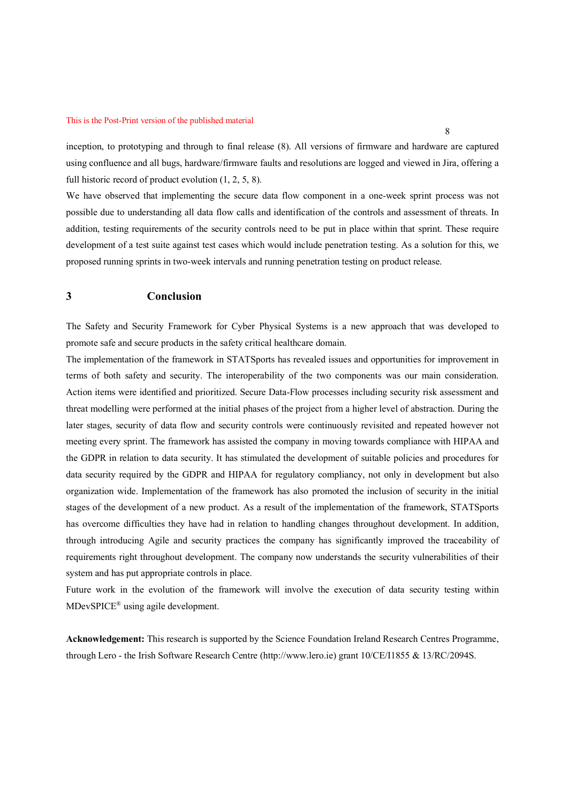inception, to prototyping and through to final release (8). All versions of firmware and hardware are captured using confluence and all bugs, hardware/firmware faults and resolutions are logged and viewed in Jira, offering a full historic record of product evolution (1, 2, 5, 8).

We have observed that implementing the secure data flow component in a one-week sprint process was not possible due to understanding all data flow calls and identification of the controls and assessment of threats. In addition, testing requirements of the security controls need to be put in place within that sprint. These require development of a test suite against test cases which would include penetration testing. As a solution for this, we proposed running sprints in two-week intervals and running penetration testing on product release.

### **3 Conclusion**

The Safety and Security Framework for Cyber Physical Systems is a new approach that was developed to promote safe and secure products in the safety critical healthcare domain.

The implementation of the framework in STATSports has revealed issues and opportunities for improvement in terms of both safety and security. The interoperability of the two components was our main consideration. Action items were identified and prioritized. Secure Data-Flow processes including security risk assessment and threat modelling were performed at the initial phases of the project from a higher level of abstraction. During the later stages, security of data flow and security controls were continuously revisited and repeated however not meeting every sprint. The framework has assisted the company in moving towards compliance with HIPAA and the GDPR in relation to data security. It has stimulated the development of suitable policies and procedures for data security required by the GDPR and HIPAA for regulatory compliancy, not only in development but also organization wide. Implementation of the framework has also promoted the inclusion of security in the initial stages of the development of a new product. As a result of the implementation of the framework, STATSports has overcome difficulties they have had in relation to handling changes throughout development. In addition, through introducing Agile and security practices the company has significantly improved the traceability of requirements right throughout development. The company now understands the security vulnerabilities of their system and has put appropriate controls in place.

Future work in the evolution of the framework will involve the execution of data security testing within MDevSPICE® using agile development.

**Acknowledgement:** This research is supported by the Science Foundation Ireland Research Centres Programme, through Lero - the Irish Software Research Centre (http://www.lero.ie) grant 10/CE/I1855 & 13/RC/2094S.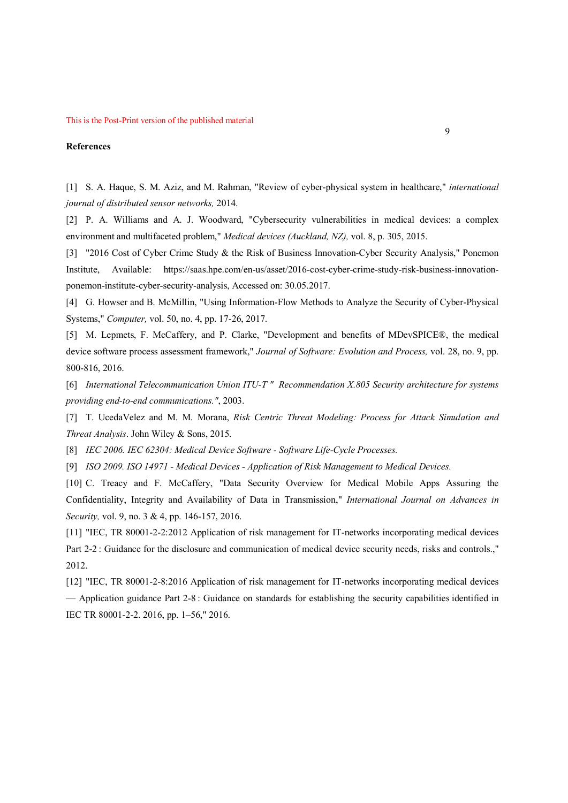#### **References**

[1] S. A. Haque, S. M. Aziz, and M. Rahman, "Review of cyber-physical system in healthcare," *international journal of distributed sensor networks,* 2014.

[2] P. A. Williams and A. J. Woodward, "Cybersecurity vulnerabilities in medical devices: a complex environment and multifaceted problem," *Medical devices (Auckland, NZ),* vol. 8, p. 305, 2015.

[3] "2016 Cost of Cyber Crime Study & the Risk of Business Innovation-Cyber Security Analysis," Ponemon Institute, Available: https://saas.hpe.com/en-us/asset/2016-cost-cyber-crime-study-risk-business-innovationponemon-institute-cyber-security-analysis, Accessed on: 30.05.2017.

[4] G. Howser and B. McMillin, "Using Information-Flow Methods to Analyze the Security of Cyber-Physical Systems," *Computer,* vol. 50, no. 4, pp. 17-26, 2017.

[5] M. Lepmets, F. McCaffery, and P. Clarke, "Development and benefits of MDevSPICE®, the medical device software process assessment framework," *Journal of Software: Evolution and Process,* vol. 28, no. 9, pp. 800-816, 2016.

[6] *International Telecommunication Union ITU-T " Recommendation X.805 Security architecture for systems providing end-to-end communications."*, 2003.

[7] T. UcedaVelez and M. M. Morana, *Risk Centric Threat Modeling: Process for Attack Simulation and Threat Analysis*. John Wiley & Sons, 2015.

[8] *IEC 2006. IEC 62304: Medical Device Software - Software Life-Cycle Processes.*

[9] *ISO 2009. ISO 14971 - Medical Devices - Application of Risk Management to Medical Devices.*

[10] C. Treacy and F. McCaffery, "Data Security Overview for Medical Mobile Apps Assuring the Confidentiality, Integrity and Availability of Data in Transmission," *International Journal on Advances in Security,* vol. 9, no. 3 & 4, pp. 146-157, 2016.

[11] "IEC, TR 80001-2-2:2012 Application of risk management for IT-networks incorporating medical devices Part 2-2 : Guidance for the disclosure and communication of medical device security needs, risks and controls.," 2012.

[12] "IEC, TR 80001-2-8:2016 Application of risk management for IT-networks incorporating medical devices — Application guidance Part 2-8 : Guidance on standards for establishing the security capabilities identified in IEC TR 80001-2-2. 2016, pp. 1–56," 2016.